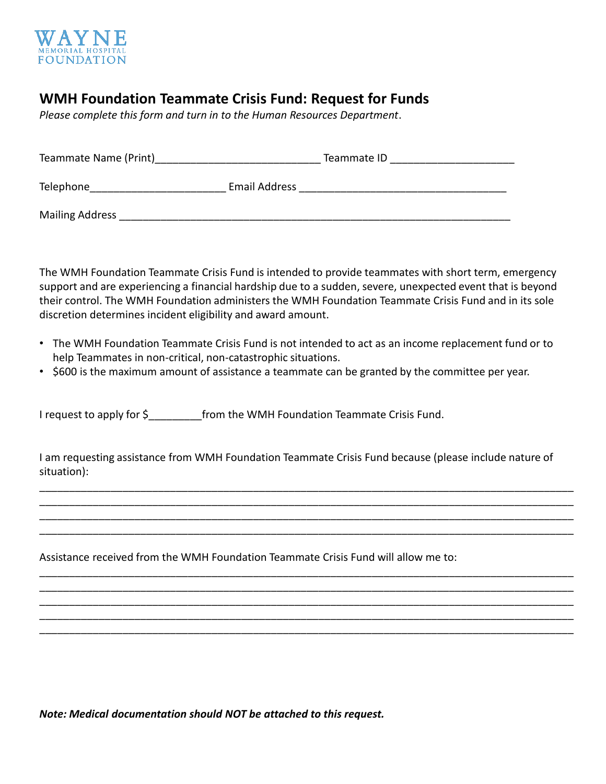

# **WMH Foundation Teammate Crisis Fund: Request for Funds**

*Please complete this form and turn in to the Human Resources Department*.

| Teammate Name (Print)  | Teammate ID          |  |
|------------------------|----------------------|--|
| Telephone              | <b>Email Address</b> |  |
| <b>Mailing Address</b> |                      |  |

The WMH Foundation Teammate Crisis Fund is intended to provide teammates with short term, emergency support and are experiencing a financial hardship due to a sudden, severe, unexpected event that is beyond their control. The WMH Foundation administers the WMH Foundation Teammate Crisis Fund and in its sole discretion determines incident eligibility and award amount.

- The WMH Foundation Teammate Crisis Fund is not intended to act as an income replacement fund or to help Teammates in non-critical, non-catastrophic situations.
- \$600 is the maximum amount of assistance a teammate can be granted by the committee per year.

I request to apply for \$ from the WMH Foundation Teammate Crisis Fund.

I am requesting assistance from WMH Foundation Teammate Crisis Fund because (please include nature of situation):

\_\_\_\_\_\_\_\_\_\_\_\_\_\_\_\_\_\_\_\_\_\_\_\_\_\_\_\_\_\_\_\_\_\_\_\_\_\_\_\_\_\_\_\_\_\_\_\_\_\_\_\_\_\_\_\_\_\_\_\_\_\_\_\_\_\_\_\_\_\_\_\_\_\_\_\_\_\_\_\_\_\_\_\_\_\_\_\_\_\_ \_\_\_\_\_\_\_\_\_\_\_\_\_\_\_\_\_\_\_\_\_\_\_\_\_\_\_\_\_\_\_\_\_\_\_\_\_\_\_\_\_\_\_\_\_\_\_\_\_\_\_\_\_\_\_\_\_\_\_\_\_\_\_\_\_\_\_\_\_\_\_\_\_\_\_\_\_\_\_\_\_\_\_\_\_\_\_\_\_\_ \_\_\_\_\_\_\_\_\_\_\_\_\_\_\_\_\_\_\_\_\_\_\_\_\_\_\_\_\_\_\_\_\_\_\_\_\_\_\_\_\_\_\_\_\_\_\_\_\_\_\_\_\_\_\_\_\_\_\_\_\_\_\_\_\_\_\_\_\_\_\_\_\_\_\_\_\_\_\_\_\_\_\_\_\_\_\_\_\_\_ \_\_\_\_\_\_\_\_\_\_\_\_\_\_\_\_\_\_\_\_\_\_\_\_\_\_\_\_\_\_\_\_\_\_\_\_\_\_\_\_\_\_\_\_\_\_\_\_\_\_\_\_\_\_\_\_\_\_\_\_\_\_\_\_\_\_\_\_\_\_\_\_\_\_\_\_\_\_\_\_\_\_\_\_\_\_\_\_\_\_

\_\_\_\_\_\_\_\_\_\_\_\_\_\_\_\_\_\_\_\_\_\_\_\_\_\_\_\_\_\_\_\_\_\_\_\_\_\_\_\_\_\_\_\_\_\_\_\_\_\_\_\_\_\_\_\_\_\_\_\_\_\_\_\_\_\_\_\_\_\_\_\_\_\_\_\_\_\_\_\_\_\_\_\_\_\_\_\_\_\_ \_\_\_\_\_\_\_\_\_\_\_\_\_\_\_\_\_\_\_\_\_\_\_\_\_\_\_\_\_\_\_\_\_\_\_\_\_\_\_\_\_\_\_\_\_\_\_\_\_\_\_\_\_\_\_\_\_\_\_\_\_\_\_\_\_\_\_\_\_\_\_\_\_\_\_\_\_\_\_\_\_\_\_\_\_\_\_\_\_\_ \_\_\_\_\_\_\_\_\_\_\_\_\_\_\_\_\_\_\_\_\_\_\_\_\_\_\_\_\_\_\_\_\_\_\_\_\_\_\_\_\_\_\_\_\_\_\_\_\_\_\_\_\_\_\_\_\_\_\_\_\_\_\_\_\_\_\_\_\_\_\_\_\_\_\_\_\_\_\_\_\_\_\_\_\_\_\_\_\_\_ \_\_\_\_\_\_\_\_\_\_\_\_\_\_\_\_\_\_\_\_\_\_\_\_\_\_\_\_\_\_\_\_\_\_\_\_\_\_\_\_\_\_\_\_\_\_\_\_\_\_\_\_\_\_\_\_\_\_\_\_\_\_\_\_\_\_\_\_\_\_\_\_\_\_\_\_\_\_\_\_\_\_\_\_\_\_\_\_\_\_ \_\_\_\_\_\_\_\_\_\_\_\_\_\_\_\_\_\_\_\_\_\_\_\_\_\_\_\_\_\_\_\_\_\_\_\_\_\_\_\_\_\_\_\_\_\_\_\_\_\_\_\_\_\_\_\_\_\_\_\_\_\_\_\_\_\_\_\_\_\_\_\_\_\_\_\_\_\_\_\_\_\_\_\_\_\_\_\_\_\_

Assistance received from the WMH Foundation Teammate Crisis Fund will allow me to:

*Note: Medical documentation should NOT be attached to this request.*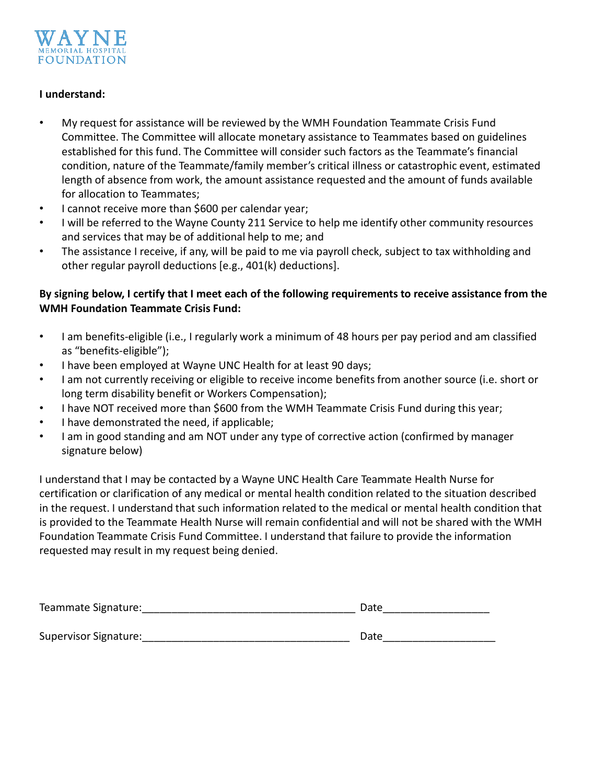

#### **I understand:**

- My request for assistance will be reviewed by the WMH Foundation Teammate Crisis Fund Committee. The Committee will allocate monetary assistance to Teammates based on guidelines established for this fund. The Committee will consider such factors as the Teammate's financial condition, nature of the Teammate/family member's critical illness or catastrophic event, estimated length of absence from work, the amount assistance requested and the amount of funds available for allocation to Teammates;
- I cannot receive more than \$600 per calendar year;
- I will be referred to the Wayne County 211 Service to help me identify other community resources and services that may be of additional help to me; and
- The assistance I receive, if any, will be paid to me via payroll check, subject to tax withholding and other regular payroll deductions [e.g., 401(k) deductions].

### **By signing below, I certify that I meet each of the following requirements to receive assistance from the WMH Foundation Teammate Crisis Fund:**

- I am benefits-eligible (i.e., I regularly work a minimum of 48 hours per pay period and am classified as "benefits-eligible");
- I have been employed at Wayne UNC Health for at least 90 days;
- I am not currently receiving or eligible to receive income benefits from another source (i.e. short or long term disability benefit or Workers Compensation);
- I have NOT received more than \$600 from the WMH Teammate Crisis Fund during this year;
- I have demonstrated the need, if applicable;
- I am in good standing and am NOT under any type of corrective action (confirmed by manager signature below)

I understand that I may be contacted by a Wayne UNC Health Care Teammate Health Nurse for certification or clarification of any medical or mental health condition related to the situation described in the request. I understand that such information related to the medical or mental health condition that is provided to the Teammate Health Nurse will remain confidential and will not be shared with the WMH Foundation Teammate Crisis Fund Committee. I understand that failure to provide the information requested may result in my request being denied.

| Teammate Signature:   | Date |
|-----------------------|------|
|                       |      |
| Supervisor Signature: | Date |